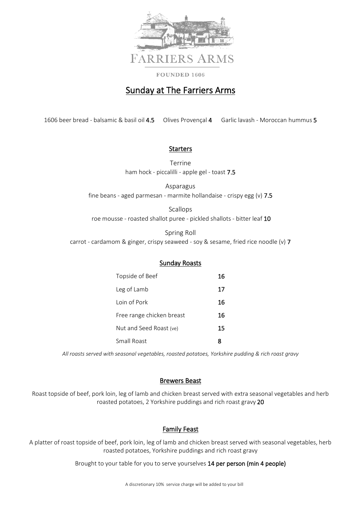

# Sunday at The Farriers Arms

1606 beer bread - balsamic & basil oil 4.5 Olives Provençal 4 Garlic lavash - Moroccan hummus 5

## Starters

Terrine ham hock - piccalilli - apple gel - toast 7.5

Asparagus fine beans - aged parmesan - marmite hollandaise - crispy egg (v) 7.5

Scallops roe mousse - roasted shallot puree - pickled shallots - bitter leaf 10

Spring Roll carrot - cardamom & ginger, crispy seaweed - soy & sesame, fried rice noodle (v) 7

# Sunday Roasts

| Topside of Beef           | 16 |
|---------------------------|----|
| Leg of Lamb               | 17 |
| Loin of Pork              | 16 |
| Free range chicken breast | 16 |
| Nut and Seed Roast (ve)   | 15 |
| Small Roast               | 8  |

*All roasts served with seasonal vegetables, roasted potatoes, Yorkshire pudding & rich roast gravy*

#### Brewers Beast

Roast topside of beef, pork loin, leg of lamb and chicken breast served with extra seasonal vegetables and herb roasted potatoes, 2 Yorkshire puddings and rich roast gravy 20

# Family Feast

A platter of roast topside of beef, pork loin, leg of lamb and chicken breast served with seasonal vegetables, herb roasted potatoes, Yorkshire puddings and rich roast gravy

Brought to your table for you to serve yourselves 14 per person (min 4 people)